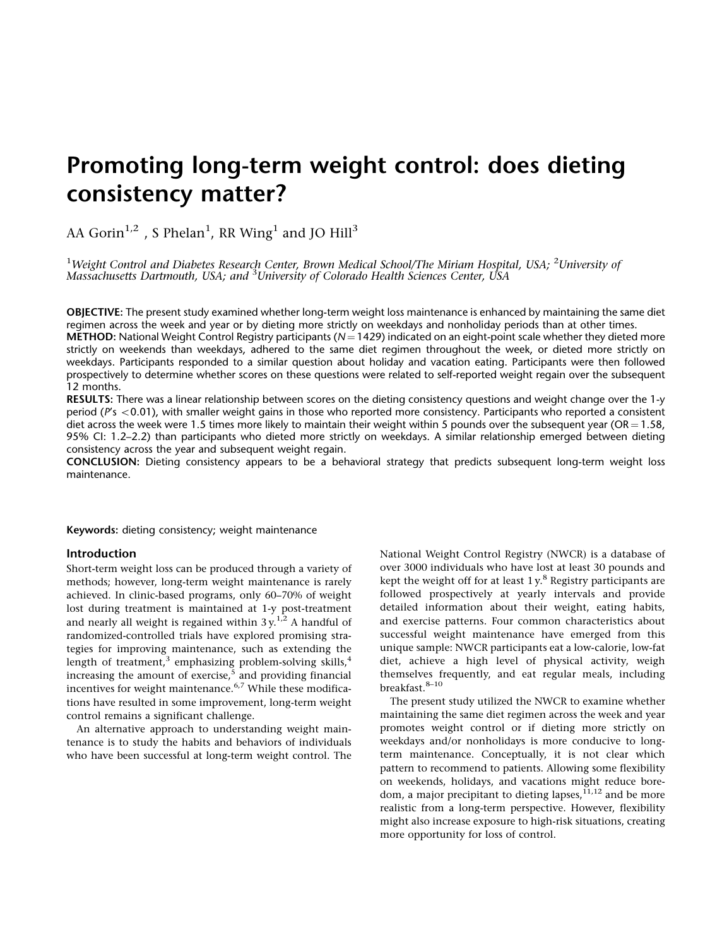# Promoting long-term weight control: does dieting consistency matter?

AA Gorin<sup>1,2</sup>, S Phelan<sup>1</sup>, RR Wing<sup>1</sup> and JO Hill<sup>3</sup>

<sup>1</sup>Weight Control and Diabetes Research Center, Brown Medical School/The Miriam Hospital, USA; <sup>2</sup>University of Massachusetts Dartmouth, USA; and <sup>3</sup>University of Colorado Health Sciences Center, USA

OBJECTIVE: The present study examined whether long-term weight loss maintenance is enhanced by maintaining the same diet regimen across the week and year or by dieting more strictly on weekdays and nonholiday periods than at other times.

**METHOD:** National Weight Control Registry participants ( $N = 1429$ ) indicated on an eight-point scale whether they dieted more strictly on weekends than weekdays, adhered to the same diet regimen throughout the week, or dieted more strictly on weekdays. Participants responded to a similar question about holiday and vacation eating. Participants were then followed prospectively to determine whether scores on these questions were related to self-reported weight regain over the subsequent 12 months.

RESULTS: There was a linear relationship between scores on the dieting consistency questions and weight change over the 1-y period ( $P's < 0.01$ ), with smaller weight gains in those who reported more consistency. Participants who reported a consistent diet across the week were 1.5 times more likely to maintain their weight within 5 pounds over the subsequent year (OR = 1.58, 95% CI: 1.2–2.2) than participants who dieted more strictly on weekdays. A similar relationship emerged between dieting consistency across the year and subsequent weight regain.

CONCLUSION: Dieting consistency appears to be a behavioral strategy that predicts subsequent long-term weight loss maintenance.

Keywords: dieting consistency; weight maintenance

methods; however, long-term weight maintenance is rarely kept the weight off for at least 1 y.<sup>8</sup> Registry participants are achieved. In clinic-based programs, only 60-70% of weight followed prospectively at yearly interva achieved. In clinic-based programs, only 60-70% of weight lost during treatment is maintained at 1-y post-treatment detailed information about their weight, eating habits, and nearly all weight is regained within  $3y<sup>1,2</sup>$  A handful of and exercise patterns. Four common characteristics about randomized-controlled trials have explored promising stra- successful weight maintenance have emerged from this control remains a significant challenge. maintaining the same diet regimen across the week and year tegies for improving maintenance, such as extending the unique sample: NWCR participants eat a low-calorie, low-fat<br>length of treatment.<sup>3</sup> emphasizing problem-solving skills.<sup>4</sup> diet, achieve a high level of physical acti incentives for weight maintenance.  $6.7$  While these modifica- breakfast.  $8-10$ tions have resulted in some improvement, long-term weight

tenance is to study the habits and behaviors of individuals weekdays and/or nonholidays is more conducive to longwho have been successful at long-term weight control. The term maintenance. Conceptually, it is not clear which

**Introduction National Weight Control Registry (NWCR)** is a database of Short-term weight loss can be produced through a variety of over 3000 individuals who have lost at least 30 pounds and length of treatment,<sup>3</sup> emphasizing problem-solving skills,<sup>4</sup> diet, achieve a high level of physical activity, weigh increasing the amount of exercise,<sup>5</sup> and providing financial themselves frequently, and eat regular meals, including breakfast.

pattern to recommend to patients. Allowing some flexibility on weekends, holidays, and vacations might reduce boredom, a major precipitant to dieting lapses,  $\frac{11}{12}$  and be more realistic from a long-term perspective. However, flexibility might also increase exposure to high-risk situations, creating more opportunity for loss of control. An alternative approach to understanding weight main- promotes weight control or if dieting more strictly on The present study utilized the NWCR to examine whether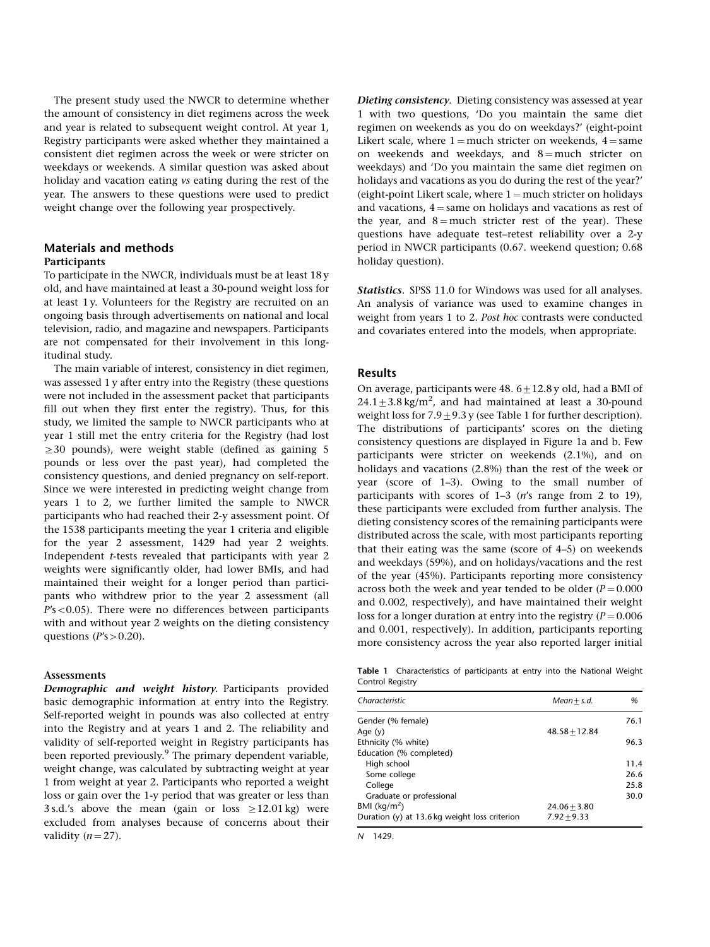The present study used the NWCR to determine whether the amount of consistency in diet regimens across the week and year is related to subsequent weight control. At year 1, Registry participants were asked whether they maintained a consistent diet regimen across the week or were stricter on weekdays or weekends. A similar question was asked about holiday and vacation eating vs eating during the rest of the year. The answers to these questions were used to predict weight change over the following year prospectively.

# Materials and methods Participants

To participate in the NWCR, individuals must be at least 18 y old, and have maintained at least a 30-pound weight loss for at least 1 y. Volunteers for the Registry are recruited on an ongoing basis through advertisements on national and local television, radio, and magazine and newspapers. Participants are not compensated for their involvement in this longitudinal study.

The main variable of interest, consistency in diet regimen, was assessed 1 y after entry into the Registry (these questions were not included in the assessment packet that participants fill out when they first enter the registry). Thus, for this study, we limited the sample to NWCR participants who at year 1 still met the entry criteria for the Registry (had lost  $\geq$  30 pounds), were weight stable (defined as gaining 5 pounds or less over the past year), had completed the consistency questions, and denied pregnancy on self-report. Since we were interested in predicting weight change from years 1 to 2, we further limited the sample to NWCR participants who had reached their 2-y assessment point. Of the 1538 participants meeting the year 1 criteria and eligible for the year 2 assessment, 1429 had year 2 weights. Independent t-tests revealed that participants with year 2 weights were significantly older, had lower BMIs, and had maintained their weight for a longer period than participants who withdrew prior to the year 2 assessment (all  $P's < 0.05$ ). There were no differences between participants with and without year 2 weights on the dieting consistency questions ( $P's > 0.20$ ).

### Assessments

Demographic and weight history. Participants provided basic demographic information at entry into the Registry. Self-reported weight in pounds was also collected at entry into the Registry and at years 1 and 2. The reliability and validity of self-reported weight in Registry participants has been reported previously.<sup>9</sup> The primary dependent variable, weight change, was calculated by subtracting weight at year 1 from weight at year 2. Participants who reported a weight loss or gain over the 1-y period that was greater or less than 3 s.d.'s above the mean (gain or loss  $\geq$  12.01 kg) were excluded from analyses because of concerns about their validity  $(n = 27)$ .

Dieting consistency. Dieting consistency was assessed at year 1 with two questions, 'Do you maintain the same diet regimen on weekends as you do on weekdays?' (eight-point Likert scale, where  $1 =$  much stricter on weekends,  $4 =$  same on weekends and weekdays, and  $8 =$  much stricter on weekdays) and 'Do you maintain the same diet regimen on holidays and vacations as you do during the rest of the year?' (eight-point Likert scale, where  $1 =$  much stricter on holidays and vacations,  $4 =$ same on holidays and vacations as rest of the year, and  $8 =$  much stricter rest of the year). These questions have adequate test–retest reliability over a 2-y period in NWCR participants (0.67. weekend question; 0.68 holiday question).

Statistics. SPSS 11.0 for Windows was used for all analyses. An analysis of variance was used to examine changes in weight from years 1 to 2. Post hoc contrasts were conducted and covariates entered into the models, when appropriate.

#### Results

On average, participants were  $48.6+12.8$  y old, had a BMI of  $24.1 \pm 3.8$  kg/m<sup>2</sup>, and had maintained at least a 30-pound weight loss for  $7.9 \pm 9.3$  y (see Table 1 for further description). The distributions of participants' scores on the dieting consistency questions are displayed in Figure 1a and b. Few participants were stricter on weekends (2.1%), and on holidays and vacations (2.8%) than the rest of the week or year (score of 1–3). Owing to the small number of participants with scores of 1–3 (n's range from 2 to 19), these participants were excluded from further analysis. The dieting consistency scores of the remaining participants were distributed across the scale, with most participants reporting that their eating was the same (score of 4–5) on weekends and weekdays (59%), and on holidays/vacations and the rest of the year (45%). Participants reporting more consistency across both the week and year tended to be older ( $P = 0.000$ ) and 0.002, respectively), and have maintained their weight loss for a longer duration at entry into the registry  $(P = 0.006$ and 0.001, respectively). In addition, participants reporting more consistency across the year also reported larger initial

Table 1 Characteristics of participants at entry into the National Weight Control Registry

| Characteristic                                  | $Mean + s.d.$   | %    |
|-------------------------------------------------|-----------------|------|
| Gender (% female)                               |                 | 76.1 |
| Age $(y)$                                       | $48.58 + 12.84$ |      |
| Ethnicity (% white)                             |                 | 96.3 |
| Education (% completed)                         |                 |      |
| High school                                     |                 | 11.4 |
| Some college                                    |                 | 26.6 |
| College                                         |                 | 25.8 |
| Graduate or professional                        |                 | 30.0 |
| BMI ( $\text{kg/m}^2$ )                         | $24.06 + 3.80$  |      |
| Duration $(y)$ at 13.6 kg weight loss criterion | $7.92 + 9.33$   |      |

N 1429.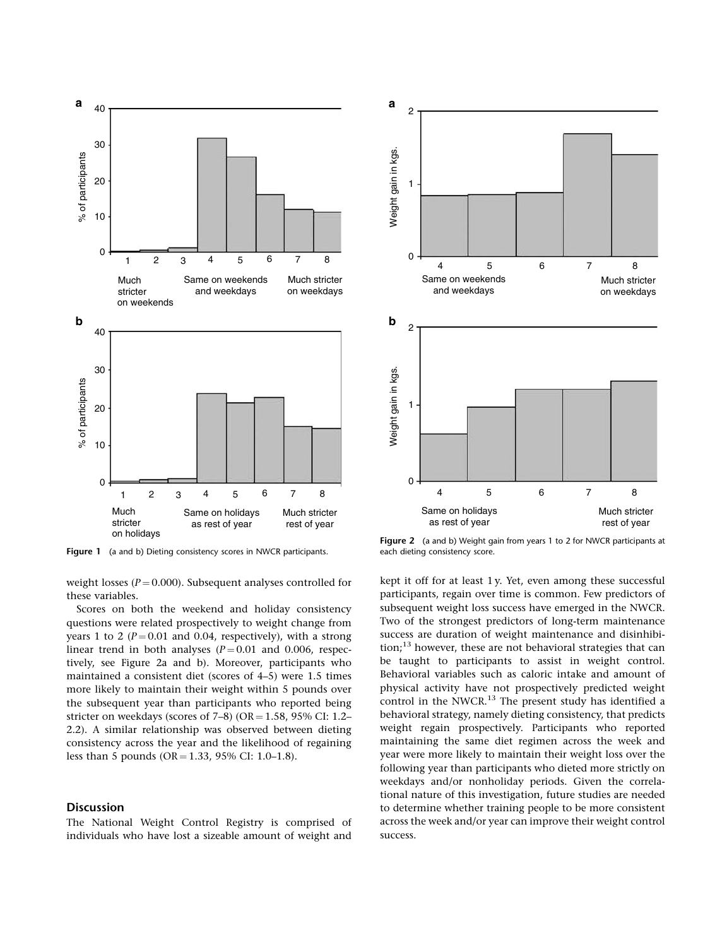

Figure 1 (a and b) Dieting consistency scores in NWCR participants.

weight losses ( $P = 0.000$ ). Subsequent analyses controlled for these variables.

Scores on both the weekend and holiday consistency questions were related prospectively to weight change from years 1 to 2 ( $P = 0.01$  and 0.04, respectively), with a strong linear trend in both analyses  $(P = 0.01$  and 0.006, respectively, see Figure 2a and b). Moreover, participants who maintained a consistent diet (scores of 4–5) were 1.5 times more likely to maintain their weight within 5 pounds over the subsequent year than participants who reported being stricter on weekdays (scores of  $7-8$ ) (OR = 1.58, 95% CI: 1.2– 2.2). A similar relationship was observed between dieting consistency across the year and the likelihood of regaining less than 5 pounds (OR = 1.33, 95% CI: 1.0–1.8).

## Discussion

The National Weight Control Registry is comprised of individuals who have lost a sizeable amount of weight and



Figure 2 (a and b) Weight gain from years 1 to 2 for NWCR participants at each dieting consistency score.

kept it off for at least 1 y. Yet, even among these successful participants, regain over time is common. Few predictors of subsequent weight loss success have emerged in the NWCR. Two of the strongest predictors of long-term maintenance success are duration of weight maintenance and disinhibition;13 however, these are not behavioral strategies that can be taught to participants to assist in weight control. Behavioral variables such as caloric intake and amount of physical activity have not prospectively predicted weight control in the NWCR. $^{13}$  The present study has identified a behavioral strategy, namely dieting consistency, that predicts weight regain prospectively. Participants who reported maintaining the same diet regimen across the week and year were more likely to maintain their weight loss over the following year than participants who dieted more strictly on weekdays and/or nonholiday periods. Given the correlational nature of this investigation, future studies are needed to determine whether training people to be more consistent across the week and/or year can improve their weight control success.